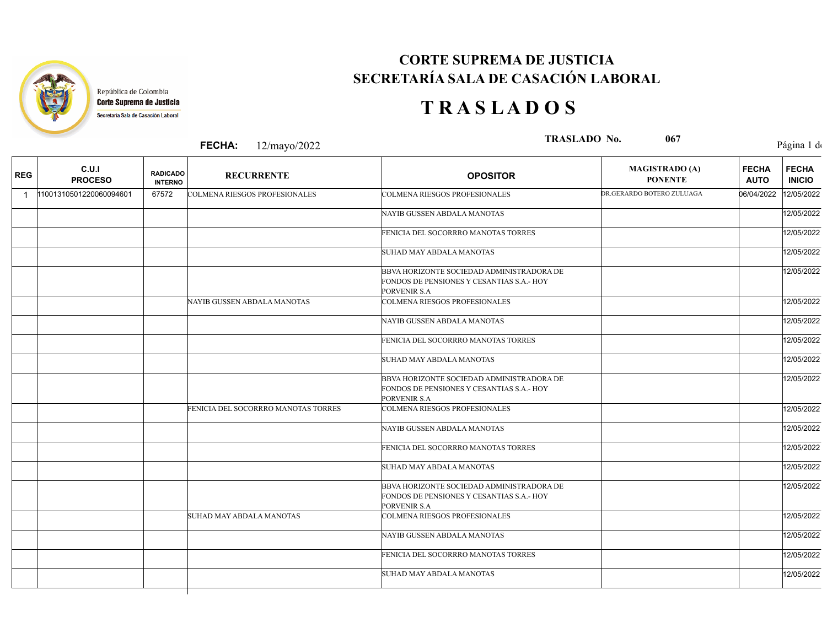

Т

## **CORTE SUPREMA DE JUSTICIA SECRETARÍA SALA DE CASACIÓN LABORAL**

## **T R A S L A D O S**

|              |                         |                                   | <b>FECHA:</b><br>12/mayo/2022        | TRASLADO No.<br>067                                                                                    |                                         | Página 1 de                 |                               |
|--------------|-------------------------|-----------------------------------|--------------------------------------|--------------------------------------------------------------------------------------------------------|-----------------------------------------|-----------------------------|-------------------------------|
| <b>REG</b>   | C.U.I<br><b>PROCESO</b> | <b>RADICADO</b><br><b>INTERNO</b> | <b>RECURRENTE</b>                    | <b>OPOSITOR</b>                                                                                        | <b>MAGISTRADO (A)</b><br><b>PONENTE</b> | <b>FECHA</b><br><b>AUTO</b> | <b>FECHA</b><br><b>INICIO</b> |
| $\mathbf{1}$ | 11001310501220060094601 | 67572                             | <b>COLMENA RIESGOS PROFESIONALES</b> | <b>COLMENA RIESGOS PROFESIONALES</b>                                                                   | DR.GERARDO BOTERO ZULUAGA               | 06/04/2022                  | 12/05/2022                    |
|              |                         |                                   |                                      | NAYIB GUSSEN ABDALA MANOTAS                                                                            |                                         |                             | 12/05/2022                    |
|              |                         |                                   |                                      | FENICIA DEL SOCORRRO MANOTAS TORRES                                                                    |                                         |                             | 12/05/2022                    |
|              |                         |                                   |                                      | SUHAD MAY ABDALA MANOTAS                                                                               |                                         |                             | 12/05/2022                    |
|              |                         |                                   |                                      | BBVA HORIZONTE SOCIEDAD ADMINISTRADORA DE<br>FONDOS DE PENSIONES Y CESANTIAS S.A.- HOY<br>PORVENIR S.A |                                         |                             | 12/05/2022                    |
|              |                         |                                   | NAYIB GUSSEN ABDALA MANOTAS          | <b>COLMENA RIESGOS PROFESIONALES</b>                                                                   |                                         |                             | 12/05/2022                    |
|              |                         |                                   |                                      | NAYIB GUSSEN ABDALA MANOTAS                                                                            |                                         |                             | 12/05/2022                    |
|              |                         |                                   |                                      | FENICIA DEL SOCORRRO MANOTAS TORRES                                                                    |                                         |                             | 12/05/2022                    |
|              |                         |                                   |                                      | SUHAD MAY ABDALA MANOTAS                                                                               |                                         |                             | 12/05/2022                    |
|              |                         |                                   |                                      | BBVA HORIZONTE SOCIEDAD ADMINISTRADORA DE<br>FONDOS DE PENSIONES Y CESANTIAS S.A.- HOY<br>PORVENIR S.A |                                         |                             | 12/05/2022                    |
|              |                         |                                   | FENICIA DEL SOCORRRO MANOTAS TORRES  | <b>COLMENA RIESGOS PROFESIONALES</b>                                                                   |                                         |                             | 12/05/2022                    |
|              |                         |                                   |                                      | NAYIB GUSSEN ABDALA MANOTAS                                                                            |                                         |                             | 12/05/2022                    |
|              |                         |                                   |                                      | FENICIA DEL SOCORRRO MANOTAS TORRES                                                                    |                                         |                             | 12/05/2022                    |
|              |                         |                                   |                                      | SUHAD MAY ABDALA MANOTAS                                                                               |                                         |                             | 12/05/2022                    |
|              |                         |                                   |                                      | BBVA HORIZONTE SOCIEDAD ADMINISTRADORA DE<br>FONDOS DE PENSIONES Y CESANTIAS S.A.- HOY<br>PORVENIR S.A |                                         |                             | 12/05/2022                    |
|              |                         |                                   | SUHAD MAY ABDALA MANOTAS             | <b>COLMENA RIESGOS PROFESIONALES</b>                                                                   |                                         |                             | 12/05/2022                    |
|              |                         |                                   |                                      | NAYIB GUSSEN ABDALA MANOTAS                                                                            |                                         |                             | 12/05/2022                    |
|              |                         |                                   |                                      | FENICIA DEL SOCORRRO MANOTAS TORRES                                                                    |                                         |                             | 12/05/2022                    |
|              |                         |                                   |                                      | SUHAD MAY ABDALA MANOTAS                                                                               |                                         |                             | 12/05/2022                    |